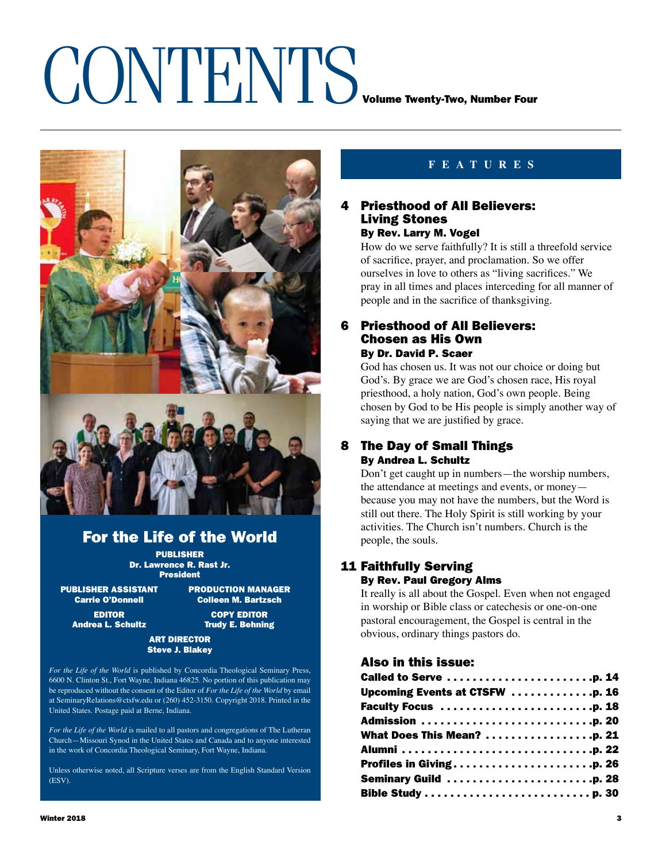# CONTENTS VOLUME TWENTY-TWO, Number Four



### For the Life of the World

PUBLISHER Dr. Lawrence R. Rast Jr. President

PUBLISHER ASSISTANT PRODUCTION MANAGER Carrie O'Donnell Colleen M. Bartzsch Andrea L. Schultz **Trudy E. Behning** 

EDITOR COPY EDITOR

#### ART DIRECTOR Steve J. Blakey

*For the Life of the World* is published by Concordia Theological Seminary Press, 6600 N. Clinton St., Fort Wayne, Indiana 46825. No portion of this publication may be reproduced without the consent of the Editor of *For the Life of the World* by email at SeminaryRelations@ctsfw.edu or (260) 452-3150. Copyright 2018. Printed in the United States. Postage paid at Berne, Indiana.

*For the Life of the World* is mailed to all pastors and congregations of The Lutheran Church—Missouri Synod in the United States and Canada and to anyone interested in the work of Concordia Theological Seminary, Fort Wayne, Indiana.

Unless otherwise noted, all Scripture verses are from the English Standard Version (ESV).

#### **features**

#### 4 Priesthood of All Believers: Living Stones By Rev. Larry M. Vogel

How do we serve faithfully? It is still a threefold service of sacrifice, prayer, and proclamation. So we offer ourselves in love to others as "living sacrifices." We pray in all times and places interceding for all manner of people and in the sacrifice of thanksgiving.

#### 6 Priesthood of All Believers: Chosen as His Own By Dr. David P. Scaer

God has chosen us. It was not our choice or doing but God's. By grace we are God's chosen race, His royal priesthood, a holy nation, God's own people. Being chosen by God to be His people is simply another way of saying that we are justified by grace.

#### 8 The Day of Small Things By Andrea L. Schultz

Don't get caught up in numbers—the worship numbers, the attendance at meetings and events, or money because you may not have the numbers, but the Word is still out there. The Holy Spirit is still working by your activities. The Church isn't numbers. Church is the people, the souls.

#### 11 Faithfully Serving By Rev. Paul Gregory Alms

It really is all about the Gospel. Even when not engaged in worship or Bible class or catechesis or one-on-one pastoral encouragement, the Gospel is central in the obvious, ordinary things pastors do.

#### Also in this issue:

| Called to Serve p. 14                                          |  |
|----------------------------------------------------------------|--|
| Upcoming Events at CTSFW $\ldots \ldots \ldots \ldots$ . p. 16 |  |
| Faculty Focus p. 18                                            |  |
|                                                                |  |
|                                                                |  |
|                                                                |  |
| Profiles in Givingp. 26                                        |  |
| Seminary Guild p. 28                                           |  |
|                                                                |  |
|                                                                |  |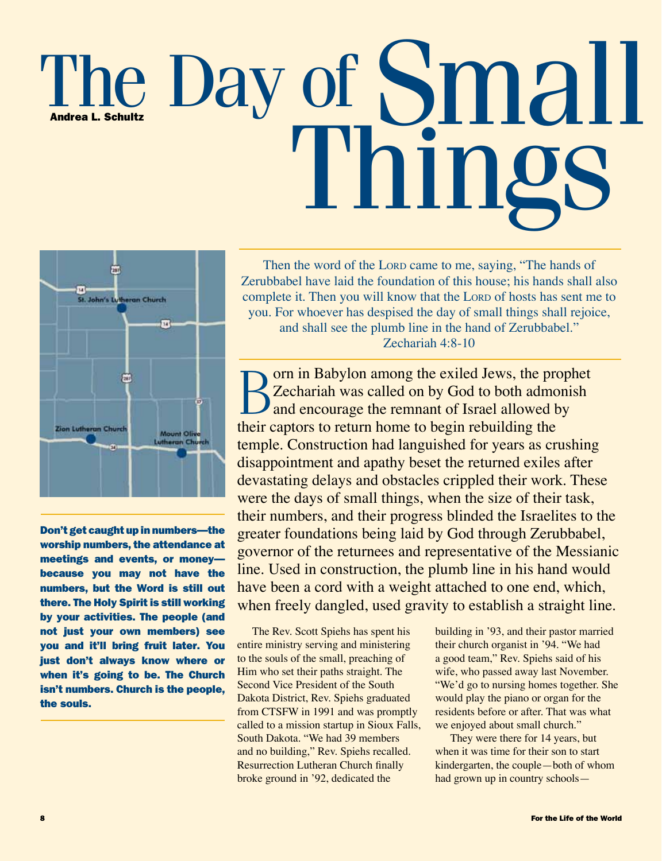## The Day of Small Things Andrea L. Schultz



Don't get caught up in numbers—the worship numbers, the attendance at meetings and events, or money because you may not have the numbers, but the Word is still out there. The Holy Spirit is still working by your activities. The people (and not just your own members) see you and it'll bring fruit later. You just don't always know where or when it's going to be. The Church isn't numbers. Church is the people, the souls.

Then the word of the LORD came to me, saying, "The hands of Zerubbabel have laid the foundation of this house; his hands shall also complete it. Then you will know that the Lorp of hosts has sent me to you. For whoever has despised the day of small things shall rejoice, and shall see the plumb line in the hand of Zerubbabel." Zechariah 4:8-10

Born in Babylon among the exiled Jews, the prophet<br>Zechariah was called on by God to both admonish<br>and encourage the remnant of Israel allowed by<br>their sectors to astum home to begin rehuilding the Zechariah was called on by God to both admonish and encourage the remnant of Israel allowed by their captors to return home to begin rebuilding the temple. Construction had languished for years as crushing disappointment and apathy beset the returned exiles after devastating delays and obstacles crippled their work. These were the days of small things, when the size of their task, their numbers, and their progress blinded the Israelites to the greater foundations being laid by God through Zerubbabel, governor of the returnees and representative of the Messianic line. Used in construction, the plumb line in his hand would have been a cord with a weight attached to one end, which, when freely dangled, used gravity to establish a straight line.

The Rev. Scott Spiehs has spent his entire ministry serving and ministering to the souls of the small, preaching of Him who set their paths straight. The Second Vice President of the South Dakota District, Rev. Spiehs graduated from CTSFW in 1991 and was promptly called to a mission startup in Sioux Falls, South Dakota. "We had 39 members and no building," Rev. Spiehs recalled. Resurrection Lutheran Church finally broke ground in '92, dedicated the

building in '93, and their pastor married their church organist in '94. "We had a good team," Rev. Spiehs said of his wife, who passed away last November. "We'd go to nursing homes together. She would play the piano or organ for the residents before or after. That was what we enjoyed about small church."

They were there for 14 years, but when it was time for their son to start kindergarten, the couple—both of whom had grown up in country schools—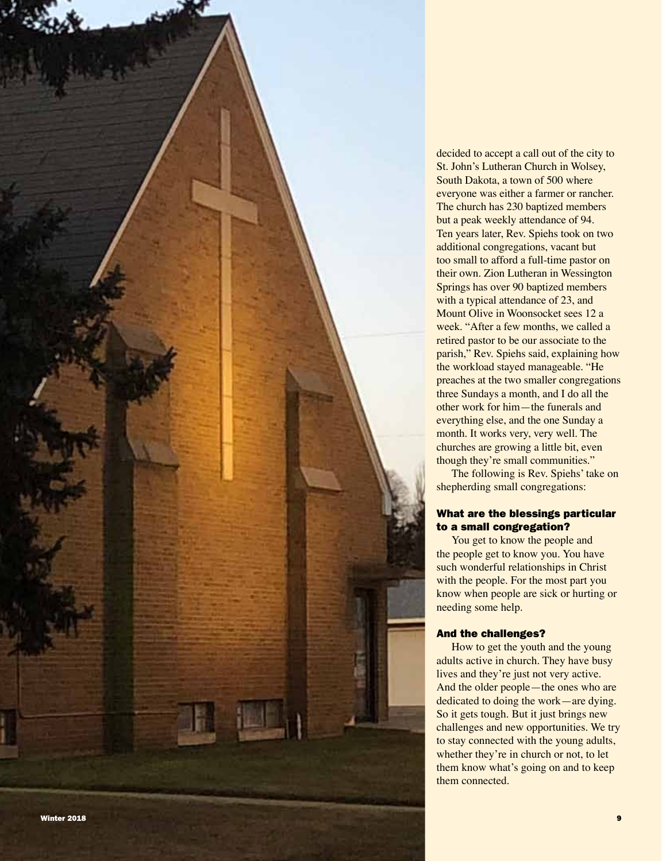

The following is Rev. Spiehs' take on shepherding small congregations:

#### What are the blessings particular to a small congregation?

You get to know the people and the people get to know you. You have such wonderful relationships in Christ with the people. For the most part you know when people are sick or hurting or needing some help.

#### And the challenges?

How to get the youth and the young adults active in church. They have busy lives and they're just not very active. And the older people—the ones who are dedicated to doing the work—are dying. So it gets tough. But it just brings new challenges and new opportunities. We try to stay connected with the young adults, whether they're in church or not, to let them know what's going on and to keep them connected.